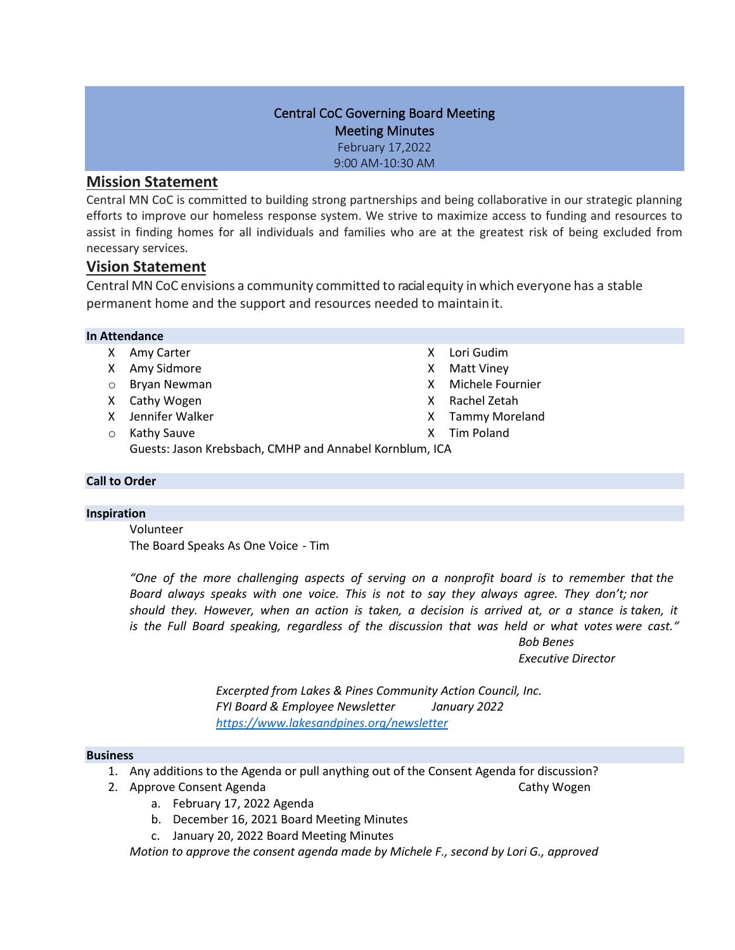# Central CoC Governing Board Meeting Meeting Minutes February 17,2022

9:00 AM-10:30 AM

# **Mission Statement**

Central MN CoC is committed to building strong partnerships and being collaborative in our strategic planning efforts to improve our homeless response system. We strive to maximize access to funding and resources to assist in finding homes for all individuals and families who are at the greatest risk of being excluded from necessary services.

# **Vision Statement**

Central MN CoC envisions a community committed to racialequity in which everyone has a stable permanent home and the support and resources needed to maintain it.

### **In Attendance**

- X Amy Carter
- X Amy Sidmore
- o Bryan Newman
- X Cathy Wogen
- X Jennifer Walker
- o Kathy Sauve
- X Lori Gudim
- X Matt Viney
- X Michele Fournier
- X Rachel Zetah
- X Tammy Moreland
- X Tim Poland

Guests: Jason Krebsbach, CMHP and Annabel Kornblum, ICA

## **Call to Order**

## **Inspiration**

Volunteer The Board Speaks As One Voice - Tim

*"One of the more challenging aspects of serving on a nonprofit board is to remember that the Board always speaks with one voice. This is not to say they always agree. They don't; nor should they. However, when an action is taken, a decision is arrived at, or a stance is taken, it is the Full Board speaking, regardless of the discussion that was held or what votes were cast."*

*Bob Benes* 

*Executive Director*

*Excerpted from Lakes & Pines Community Action Council, Inc. FYI Board & Employee Newsletter January 2022 <https://www.lakesandpines.org/newsletter>*

### **Business**

- 1. Any additions to the Agenda or pull anything out of the Consent Agenda for discussion?
- 2. Approve Consent Agenda Cathy Wogen Cathy Wogen
	- a. February 17, 2022 Agenda
	- b. December 16, 2021 Board Meeting Minutes
	- c. January 20, 2022 Board Meeting Minutes

*Motion to approve the consent agenda made by Michele F., second by Lori G., approved*